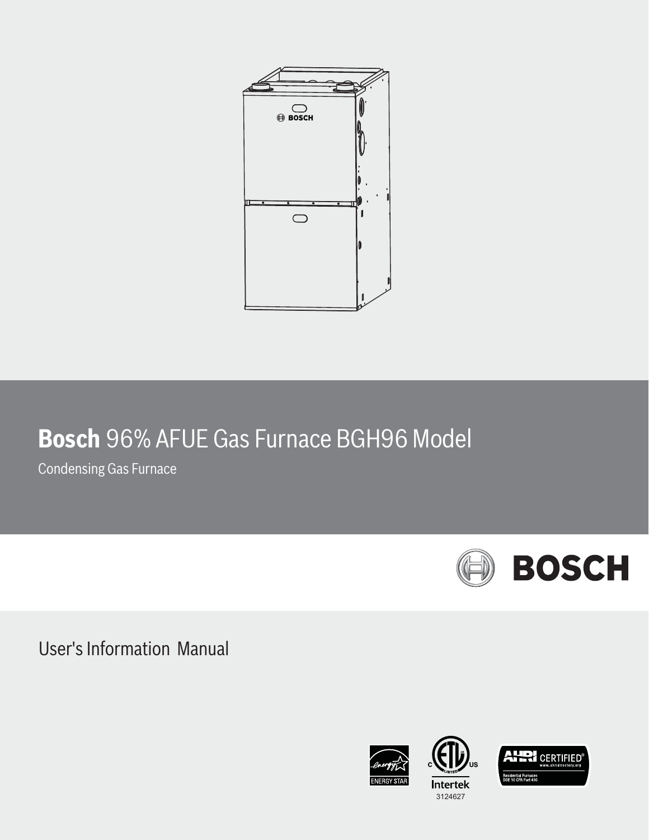

# **Bosch** 96% AFUE Gas Furnace BGH96 Model

Condensing Gas Furnace



User's Information Manual





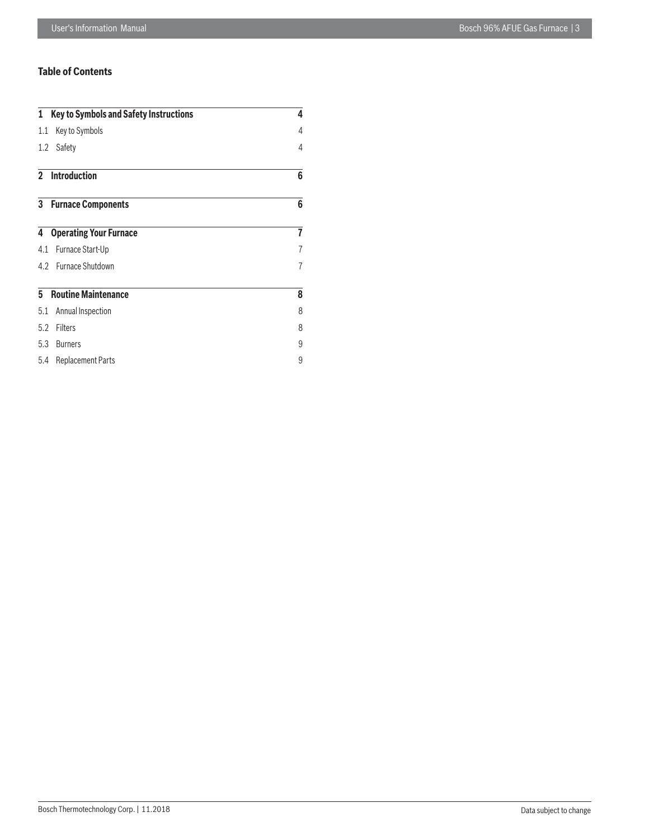# **Table of Contents**

|     | 1 Key to Symbols and Safety Instructions | 4              |
|-----|------------------------------------------|----------------|
| 1.1 | Key to Symbols                           | 4              |
| 1.2 | Safety                                   | 4              |
|     | 2 Introduction                           | 6              |
|     | <b>3</b> Furnace Components              | 6              |
| 4   | <b>Operating Your Furnace</b>            | 7              |
| 4.1 | Furnace Start-Up                         | 7              |
|     | 4.2 Furnace Shutdown                     | $\overline{7}$ |
| 5   | <b>Routine Maintenance</b>               | 8              |
| 5.1 | Annual Inspection                        | 8              |
| 5.2 | Filters                                  | 8              |
| 5.3 | <b>Burners</b>                           | 9              |
| 5.4 | <b>Replacement Parts</b>                 | 9              |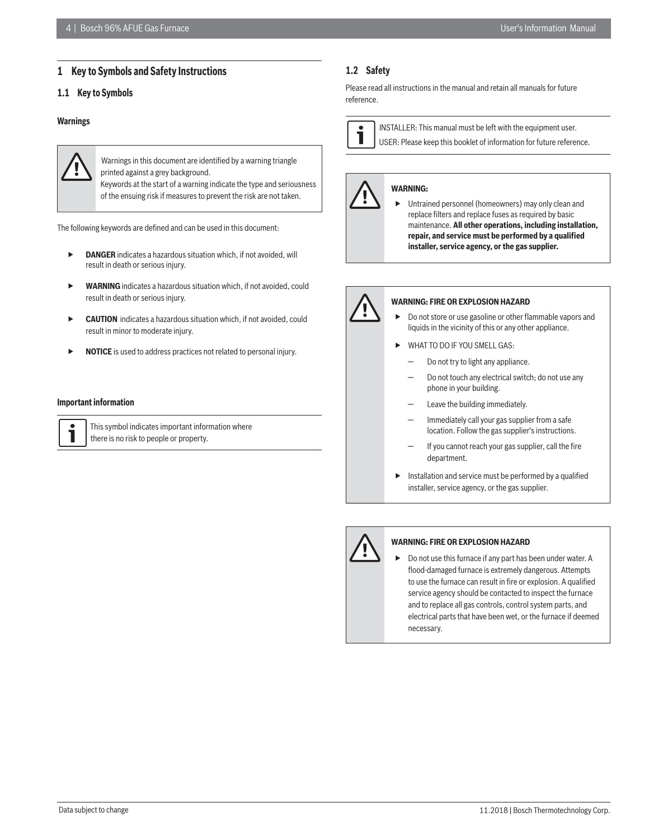# **1 Key to Symbols and Safety Instructions**

# **1.1 Key to Symbols**

#### **Warnings**



Warnings in this document are identified by a warning triangle printed against a grey background.

Keywords at the start of a warning indicate the type and seriousness of the ensuing risk if measures to prevent the risk are not taken.

The following keywords are defined and can be used in this document:

- **DANGER** indicates a hazardous situation which, if not avoided, will result in death or serious injury.
- **WARNING** indicates a hazardous situation which, if not avoided, could result in death or serious injury.
- **CAUTION** indicates a hazardous situation which, if not avoided, could result in minor to moderate injury.
- **NOTICE** is used to address practices not related to personal injury.

#### **Important information**

| This symbo  |
|-------------|
| there is no |

ol indicates important information where risk to people or property.

# **1.2 Safety**

Please read all instructions in the manual and retain all manuals for future reference.



 INSTALLER: This manual must be left with the equipment user.

USER: Please keep this booklet of information for future reference.

# **WARNING:**

 Untrained personnel (homeowners) may only clean and replace filters and replace fuses as required by basic maintenance. **All other operations, including installation, repair, and service must be performed by a qualified installer, service agency, or the gas supplier.**



#### **WARNING: FIRE OR EXPLOSION HAZARD**

- Do not store or use gasoline or other flammable vapors and liquids in the vicinity of this or any other appliance.
- WHAT TO DO IF YOU SMELL GAS:
	- Do not try to light any appliance.
	- Do not touch any electrical switch; do not use any phone in your building.
	- Leave the building immediately.
	- Immediately call your gas supplier from a safe location. Follow the gas supplier's instructions.
	- If you cannot reach your gas supplier, call the fire department.
- $\blacktriangleright$  Installation and service must be performed by a qualified installer, service agency, or the gas supplier.



# **WARNING: FIRE OR EXPLOSION HAZARD**

 Do not use this furnace if any part has been under water. A flood-damaged furnace is extremely dangerous. Attempts to use the furnace can result in fire or explosion. A qualified service agency should be contacted to inspect the furnace and to replace all gas controls, control system parts, and electrical parts that have been wet, or the furnace if deemed necessary.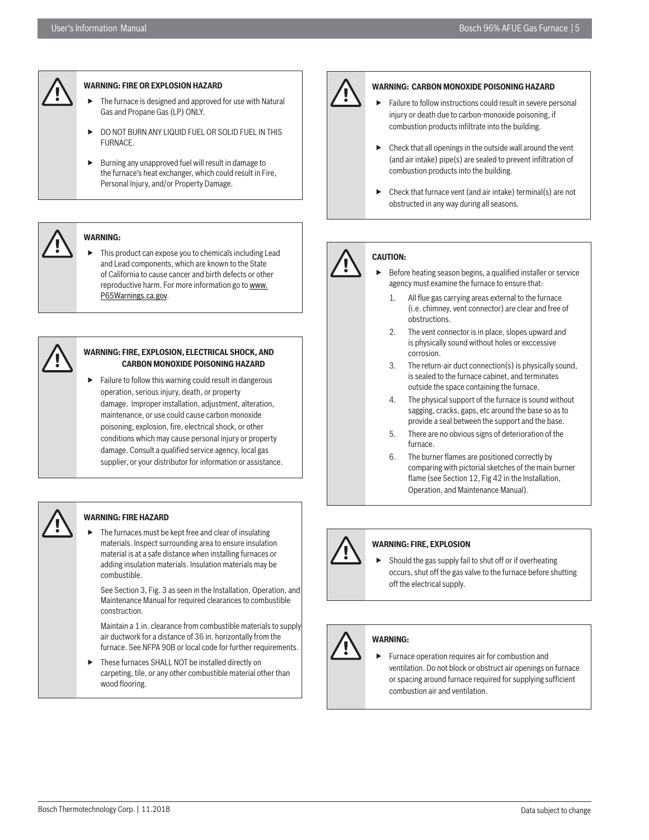

#### **WARNING: FIRE OR EXPLOSION HAZARD**

- The furnace is designed and approved for use with Natural Gas and Propane Gas (LP) ONLY.
- DO NOT BURN ANY LIQUID FUEL OR SOLID FUEL IN THIS FURNACE.
- $\blacktriangleright$  Burning any unapproved fuel will result in damage to the furnace's heat exchanger, which could result in Fire, Personal Injury, and/or Property Damage.

# **WARNING:**

 This product can expose you to chemicals including Lead and Lead components, which are known to the State of California to cause cancer and birth defects or other reproductive harm. For more information go to www. P65Warnings.ca.gov.

#### **WARNING: FIRE, EXPLOSION, ELECTRICAL SHOCK, AND CARBON MONOXIDE POISONING HAZARD**

 Failure to follow this warning could result in dangerous operation, serious injury, death, or property damage. Improper installation, adjustment, alteration, maintenance, or use could cause carbon monoxide poisoning, explosion, fire, electrical shock, or other conditions which may cause personal injury or property damage. Consult a qualified service agency, local gas supplier, or your distributor for information or assistance.

# **WARNING: FIRE HAZARD**

 $\blacktriangleright$  The furnaces must be kept free and clear of insulating materials. Inspect surrounding area to ensure insulation material is at a safe distance when installing furnaces or adding insulation materials. Insulation materials may be combustible.

See Section 3, Fig. 3 as seen in the Installation, Operation, and Maintenance Manual for required clearances to combustible construction.

Maintain a 1 in. clearance from combustible materials to supply air ductwork for a distance of 36 in. horizontally from the furnace. See NFPA 90B or local code for further requirements.

 $\blacktriangleright$  These furnaces SHALL NOT be installed directly on carpeting, tile, or any other combustible material other than wood flooring.



# **WARNING: CARBON MONOXIDE POISONING HAZARD**

- Failure to follow instructions could result in severe personal injury or death due to carbon-monoxide poisoning, if combustion products infiltrate into the building.
- Check that all openings in the outside wall around the vent (and air intake) pipe(s) are sealed to prevent infiltration of combustion products into the building.
- Check that furnace vent (and air intake) terminal(s) are not obstructed in any way during all seasons.

# **CAUTION:**

- Before heating season begins, a qualified installer or service agency must examine the furnace to ensure that:
	- 1. All flue gas carrying areas external to the furnace (i.e. chimney, vent connector) are clear and free of obstructions.
	- 2. The vent connector is in place, slopes upward and is physically sound without holes or exccessive corrosion.
	- 3. The return-air duct connection(s) is physically sound, is sealed to the furnace cabinet, and terminates outside the space containing the furnace.
	- 4. The physical support of the furnace is sound without sagging, cracks, gaps, etc around the base so as to provide a seal between the support and the base.
	- 5. There are no obvious signs of deterioration of the furnace.
	- 6. The burner flames are positioned correctly by comparing with pictorial sketches of the main burner flame (see Section 12, Fig 42 in the Installation, Operation, and Maintenance Manual).

# **WARNING: FIRE, EXPLOSION**

 Should the gas supply fail to shut off or if overheating occurs, shut off the gas valve to the furnace before shutting off the electrical supply.

# **WARNING:**

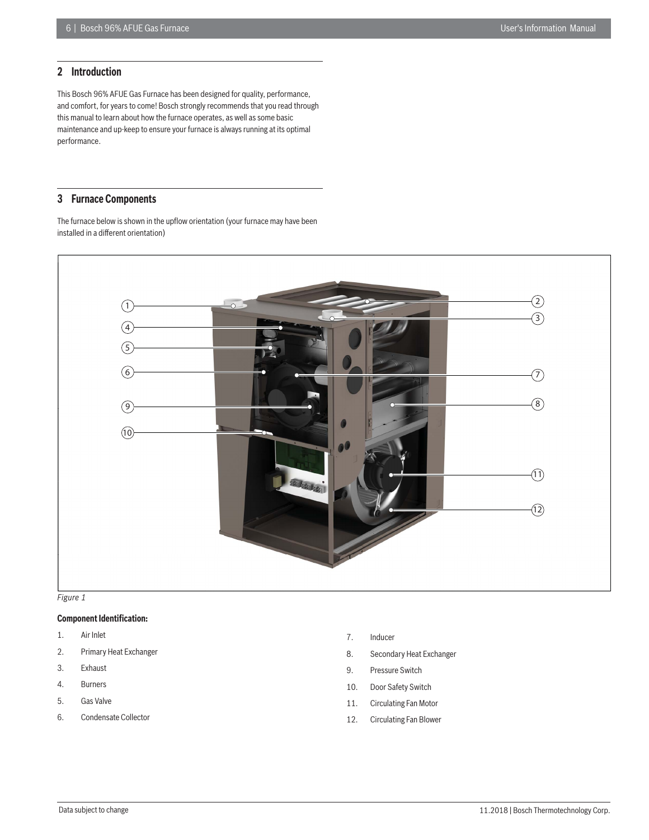# **2 Introduction**

This Bosch 96% AFUE Gas Furnace has been designed for quality, performance, and comfort, for years to come! Bosch strongly recommends that you read through this manual to learn about how the furnace operates, as well as some basic maintenance and up-keep to ensure your furnace is always running at its optimal performance.

# **3 Furnace Components**

The furnace below is shown in the upflow orientation (your furnace may have been installed in a different orientation)





# **Component Identification:**

- 1. Air Inlet
- 2. Primary Heat Exchanger
- 3. Exhaust
- 4. Burners
- 5. Gas Valve
- 6. Condensate Collector
- 7. Inducer
- 8. Secondary Heat Exchanger
- 9. Pressure Switch
- 10. Door Safety Switch
- 11. Circulating Fan Motor
- 12. Circulating Fan Blower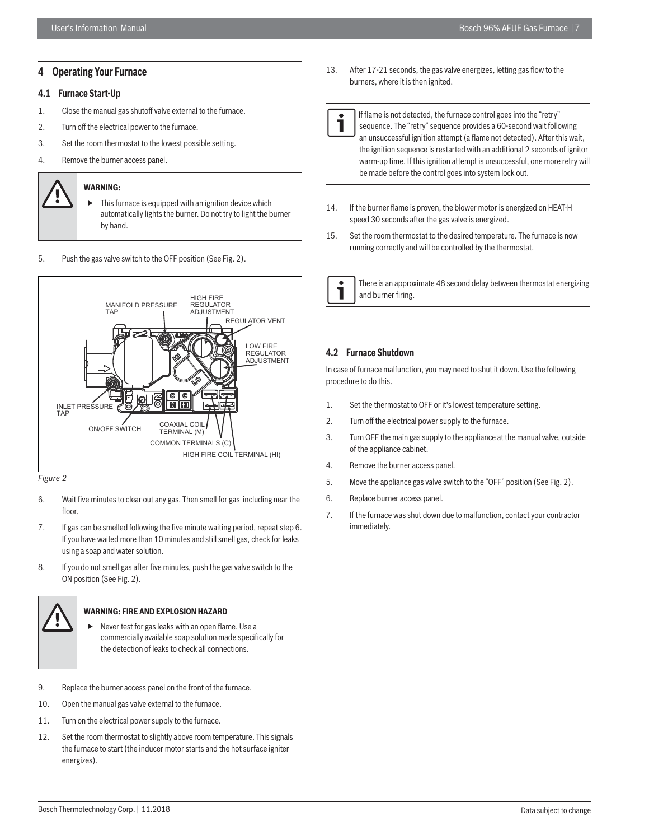# **4 Operating Your Furnace**

# **4.1 Furnace Start-Up**

- 1. Close the manual gas shutoff valve external to the furnace.
- 2. Turn off the electrical power to the furnace.
- 3. Set the room thermostat to the lowest possible setting.
- 4. Remove the burner access panel.

# **WARNING:**

- $\blacktriangleright$  This furnace is equipped with an ignition device which automatically lights the burner. Do not try to light the burner by hand.
- 5. Push the gas valve switch to the OFF position (See Fig. 2).



*Figure 2*

- 6. Wait five minutes to clear out any gas. Then smell for gas including near the floor
- 7. If gas can be smelled following the five minute waiting period, repeat step 6. If you have waited more than 10 minutes and still smell gas, check for leaks using a soap and water solution.
- 8. If you do not smell gas after five minutes, push the gas valve switch to the ON position (See Fig. 2).



# **WARNING: FIRE AND EXPLOSION HAZARD**

- Never test for gas leaks with an open flame. Use a commercially available soap solution made specifically for the detection of leaks to check all connections.
- 9. Replace the burner access panel on the front of the furnace.
- 10. Open the manual gas valve external to the furnace.
- 11. Turn on the electrical power supply to the furnace.
- 12. Set the room thermostat to slightly above room temperature. This signals the furnace to start (the inducer motor starts and the hot surface igniter energizes).
- 13. After 17-21 seconds, the gas valve energizes, letting gas flow to the burners, where it is then ignited.
- If flame is not detected, the furnace control goes into the "retry" sequence. The "retry" sequence provides a 60-second wait following an unsuccessful ignition attempt (a flame not detected). After this wait, the ignition sequence is restarted with an additional 2 seconds of ignitor warm-up time. If this ignition attempt is unsuccessful, one more retry will be made before the control goes into system lock out.
- 14. If the burner flame is proven, the blower motor is energized on HEAT-H speed 30 seconds after the gas valve is energized.
- 15. Set the room thermostat to the desired temperature. The furnace is now running correctly and will be controlled by the thermostat.

 There is an approximate 48 second delay between thermostat energizing and burner firing.

# **4.2 Furnace Shutdown**

In case of furnace malfunction, you may need to shut it down. Use the following procedure to do this.

- 1. Set the thermostat to OFF or it's lowest temperature setting.
- 2. Turn off the electrical power supply to the furnace.
- 3. Turn OFF the main gas supply to the appliance at the manual valve, outside of the appliance cabinet.
- 4. Remove the burner access panel.
- 5. Move the appliance gas valve switch to the "OFF" position (See Fig. 2).
- 6. Replace burner access panel.
- 7. If the furnace was shut down due to malfunction, contact your contractor immediately.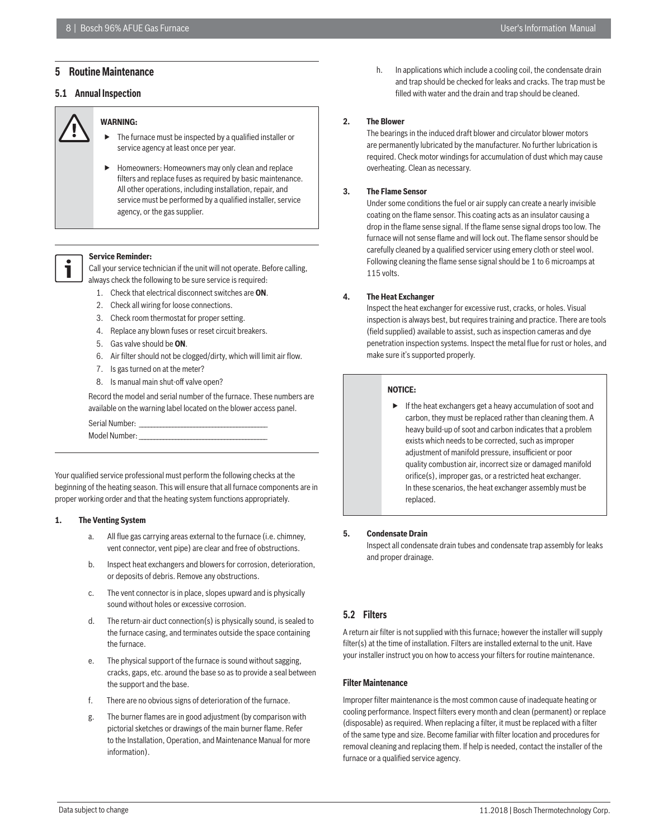# **5 Routine Maintenance**

# **5.1 Annual Inspection**



# **WARNING:**

- The furnace must be inspected by a qualified installer or service agency at least once per year.
- Homeowners: Homeowners may only clean and replace filters and replace fuses as required by basic maintenance. All other operations, including installation, repair, and service must be performed by a qualified installer, service agency, or the gas supplier.

# **Service Reminder:**

 Call your service technician if the unit will not operate. Before calling, always check the following to be sure service is required:

- 1. Check that electrical disconnect switches are **ON**.
- 2. Check all wiring for loose connections.
- 3. Check room thermostat for proper setting.
- 4. Replace any blown fuses or reset circuit breakers.
- 5. Gas valve should be **ON**.
- 6. Air filter should not be clogged/dirty, which will limit air flow.
- 7. Is gas turned on at the meter?
- 8. Is manual main shut-off valve open?

Record the model and serial number of the furnace. These numbers are available on the warning label located on the blower access panel.

| Serial Number: |  |
|----------------|--|
| Model Number:  |  |

Your qualified service professional must perform the following checks at the beginning of the heating season. This will ensure that all furnace components are in proper working order and that the heating system functions appropriately.

#### **1. The Venting System**

- a. All flue gas carrying areas external to the furnace (i.e. chimney, vent connector, vent pipe) are clear and free of obstructions.
- b. Inspect heat exchangers and blowers for corrosion, deterioration, or deposits of debris. Remove any obstructions.
- c. The vent connector is in place, slopes upward and is physically sound without holes or excessive corrosion.
- d. The return-air duct connection(s) is physically sound, is sealed to the furnace casing, and terminates outside the space containing the furnace.
- e. The physical support of the furnace is sound without sagging, cracks, gaps, etc. around the base so as to provide a seal between the support and the base.
- f. There are no obvious signs of deterioration of the furnace.
- g. The burner flames are in good adjustment (by comparison with pictorial sketches or drawings of the main burner flame. Refer to the Installation, Operation, and Maintenance Manual for more information).

h. In applications which include a cooling coil, the condensate drain and trap should be checked for leaks and cracks. The trap must be filled with water and the drain and trap should be cleaned.

# **2. The Blower**

The bearings in the induced draft blower and circulator blower motors are permanently lubricated by the manufacturer. No further lubrication is required. Check motor windings for accumulation of dust which may cause overheating. Clean as necessary.

### **3. The Flame Sensor**

Under some conditions the fuel or air supply can create a nearly invisible coating on the flame sensor. This coating acts as an insulator causing a drop in the flame sense signal. If the flame sense signal drops too low. The furnace will not sense flame and will lock out. The flame sensor should be carefully cleaned by a qualified servicer using emery cloth or steel wool. Following cleaning the flame sense signal should be 1 to 6 microamps at 115 volts.

### **4. The Heat Exchanger**

Inspect the heat exchanger for excessive rust, cracks, or holes. Visual inspection is always best, but requires training and practice. There are tools (field supplied) available to assist, such as inspection cameras and dye penetration inspection systems. Inspect the metal flue for rust or holes, and make sure it's supported properly.

#### **NOTICE:**

 $\blacktriangleright$  If the heat exchangers get a heavy accumulation of soot and carbon, they must be replaced rather than cleaning them. A heavy build-up of soot and carbon indicates that a problem exists which needs to be corrected, such as improper adjustment of manifold pressure, insufficient or poor quality combustion air, incorrect size or damaged manifold orifice(s), improper gas, or a restricted heat exchanger. In these scenarios, the heat exchanger assembly must be replaced.

#### **5. Condensate Drain**

Inspect all condensate drain tubes and condensate trap assembly for leaks and proper drainage.

# **5.2 Filters**

A return air filter is not supplied with this furnace; however the installer will supply filter(s) at the time of installation. Filters are installed external to the unit. Have your installer instruct you on how to access your filters for routine maintenance.

# **Filter Maintenance**

Improper filter maintenance is the most common cause of inadequate heating or cooling performance. Inspect filters every month and clean (permanent) or replace (disposable) as required. When replacing a filter, it must be replaced with a filter of the same type and size. Become familiar with filter location and procedures for removal cleaning and replacing them. If help is needed, contact the installer of the furnace or a qualified service agency.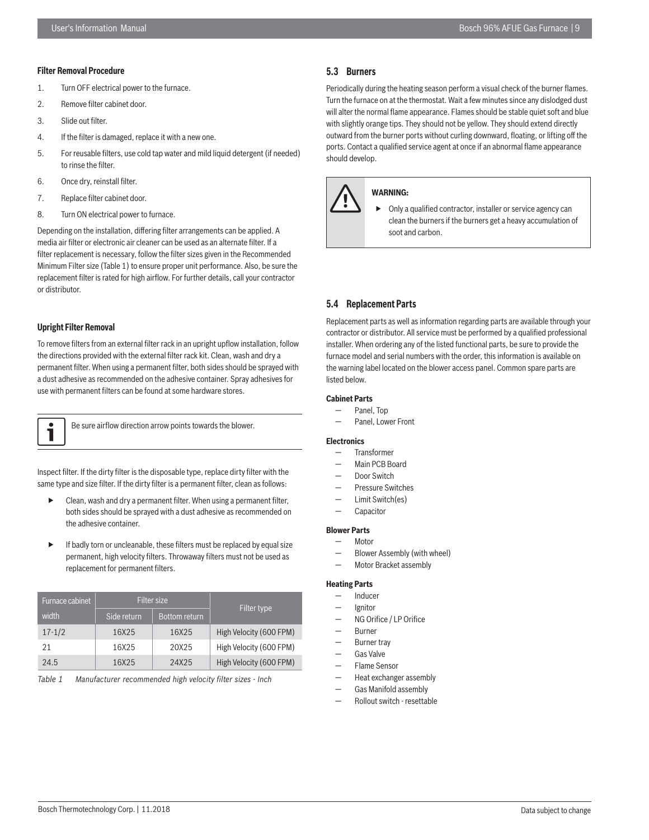#### **Filter Removal Procedure**

- 1. Turn OFF electrical power to the furnace.
- 2. Remove filter cabinet door.
- 3. Slide out filter.
- 4. If the filter is damaged, replace it with a new one.
- 5. For reusable filters, use cold tap water and mild liquid detergent (if needed) to rinse the filter.
- 6. Once dry, reinstall filter.
- 7. Replace filter cabinet door.
- 8. Turn ON electrical power to furnace.

Depending on the installation, differing filter arrangements can be applied. A media air filter or electronic air cleaner can be used as an alternate filter. If a filter replacement is necessary, follow the filter sizes given in the Recommended Minimum Filter size (Table 1) to ensure proper unit performance. Also, be sure the replacement filter is rated for high airflow. For further details, call your contractor or distributor.

#### **Upright Filter Removal**

To remove filters from an external filter rack in an upright upflow installation, follow the directions provided with the external filter rack kit. Clean, wash and dry a permanent filter. When using a permanent filter, both sides should be sprayed with a dust adhesive as recommended on the adhesive container. Spray adhesives for use with permanent filters can be found at some hardware stores.

1

Be sure airflow direction arrow points towards the blower.

Inspect filter. If the dirty filter is the disposable type, replace dirty filter with the same type and size filter. If the dirty filter is a permanent filter, clean as follows:

- Clean, wash and dry a permanent filter. When using a permanent filter, both sides should be sprayed with a dust adhesive as recommended on the adhesive container.
- $\blacktriangleright$  If badly torn or uncleanable, these filters must be replaced by equal size permanent, high velocity filters. Throwaway filters must not be used as replacement for permanent filters.

| Furnace cabinet | <b>Filter size</b> |                      |                         |
|-----------------|--------------------|----------------------|-------------------------|
| width           | Side return        | <b>Bottom return</b> | Filter type             |
| $17 - 1/2$      | 16X25              | 16X25                | High Velocity (600 FPM) |
| 21              | 16X25              | 20X25                | High Velocity (600 FPM) |
| 24.5            | 16X25              | 24X25                | High Velocity (600 FPM) |

*Table 1 Manufacturer recommended high velocity fi lter sizes - Inch*

# **5.3 Burners**

Periodically during the heating season perform a visual check of the burner flames. Turn the furnace on at the thermostat. Wait a few minutes since any dislodged dust will alter the normal flame appearance. Flames should be stable quiet soft and blue with slightly orange tips. They should not be yellow. They should extend directly outward from the burner ports without curling downward, floating, or lifting off the ports. Contact a qualified service agent at once if an abnormal flame appearance should develop.



#### **WARNING:**

 Only a qualified contractor, installer or service agency can clean the burners if the burners get a heavy accumulation of soot and carbon.

# **5.4 Replacement Parts**

Replacement parts as well as information regarding parts are available through your contractor or distributor. All service must be performed by a qualified professional installer. When ordering any of the listed functional parts, be sure to provide the furnace model and serial numbers with the order, this information is available on the warning label located on the blower access panel. Common spare parts are listed below.

# **Cabinet Parts**

- Panel, Top
- Panel, Lower Front

# **Electronics**

- Transformer
- Main PCB Board
- Door Switch
- Pressure Switches
- Limit Switch(es)
- Capacitor

# **Blower Parts**

- Motor
- Blower Assembly (with wheel)
- Motor Bracket assembly

#### **Heating Parts**

- **Inducer**
- **lgnitor**
- NG Orifice / LP Orifice
- Burner
- Burner tray
- Gas Valve
- Flame Sensor
- Heat exchanger assembly
- Gas Manifold assembly
- Rollout switch resettable